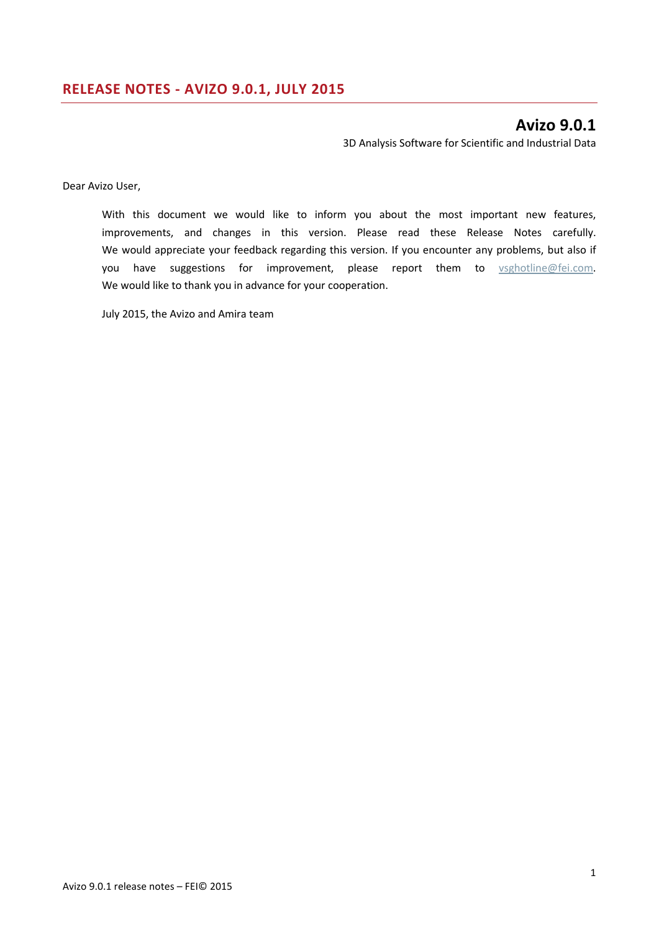# **Avizo 9.0.1**

3D Analysis Software for Scientific and Industrial Data

Dear Avizo User,

With this document we would like to inform you about the most important new features, improvements, and changes in this version. Please read these Release Notes carefully. We would appreciate your feedback regarding this version. If you encounter any problems, but also if you have suggestions for improvement, please report them to [vsghotline@fei.com.](mailto:vsghotline@fei.com) We would like to thank you in advance for your cooperation.

July 2015, the Avizo and Amira team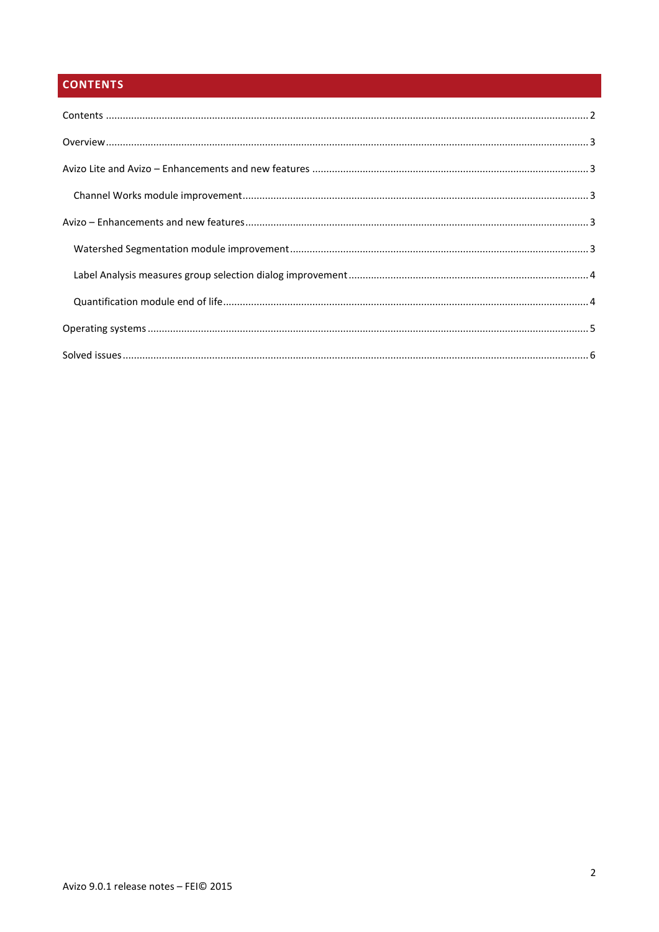# <span id="page-1-0"></span>**CONTENTS**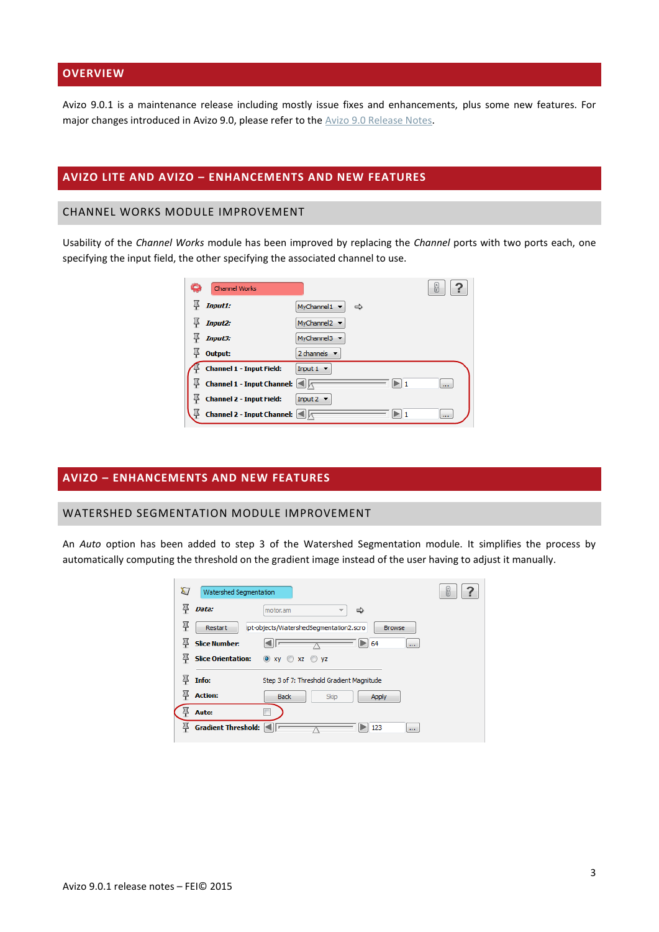# <span id="page-2-0"></span>**OVERVIEW**

Avizo 9.0.1 is a maintenance release including mostly issue fixes and enhancements, plus some new features. For major changes introduced in Avizo 9.0, please refer to the [Avizo 9.0 Release Notes.](http://www.fei.com/documents/Avizo900_ReleaseNotes/)

# <span id="page-2-1"></span>**AVIZO LITE AND AVIZO – ENHANCEMENTS AND NEW FEATURES**

## <span id="page-2-2"></span>CHANNEL WORKS MODULE IMPROVEMENT

Usability of the *Channel Works* module has been improved by replacing the *Channel* ports with two ports each, one specifying the input field, the other specifying the associated channel to use.

| <b>Channel Works</b>              |                                      | m        |
|-----------------------------------|--------------------------------------|----------|
| <b>Input1:</b>                    | MyChannel1 $\blacktriangledown$<br>⇔ |          |
| <b>Input2:</b>                    | MyChannel2 $\blacktriangledown$      |          |
| Input3:                           | MyChannel3 v                         |          |
| Output:                           | 2 channels $\blacktriangledown$      |          |
| <b>Channel 1 - Input Field:</b>   | Input $1 -$                          |          |
| <b>Channel 1 - Input Channel:</b> |                                      | m.       |
| <b>Channel 2 - Input Field:</b>   | Input $2 \rightarrow$                |          |
| <b>Channel 2 - Input Channel:</b> |                                      | $\cdots$ |

# <span id="page-2-3"></span>**AVIZO – ENHANCEMENTS AND NEW FEATURES**

#### <span id="page-2-4"></span>WATERSHED SEGMENTATION MODULE IMPROVEMENT

An *Auto* option has been added to step 3 of the Watershed Segmentation module. It simplifies the process by automatically computing the threshold on the gradient image instead of the user having to adjust it manually.

| X) |                      |                                           | b                                                                                                                                    |
|----|----------------------|-------------------------------------------|--------------------------------------------------------------------------------------------------------------------------------------|
|    | Data:                | motor.am<br>⇨<br>$\overline{\phantom{a}}$ |                                                                                                                                      |
|    | Restart              | <b>Browse</b>                             |                                                                                                                                      |
|    | <b>Slice Number:</b> | 64<br>$\mathbf{r}$                        |                                                                                                                                      |
|    |                      |                                           |                                                                                                                                      |
|    | Info:                | Step 3 of 7: Threshold Gradient Magnitude |                                                                                                                                      |
|    | <b>Action:</b>       | <b>Back</b><br>Skip<br>Apply              |                                                                                                                                      |
|    | Auto:                |                                           |                                                                                                                                      |
|    |                      | 123<br>$\cdots$                           |                                                                                                                                      |
|    |                      |                                           | Watershed Segmentation<br>ipt-objects/WatershedSegmentation2.scro<br>Slice Orientation: O xy O xz O yz<br><b>Gradient Threshold:</b> |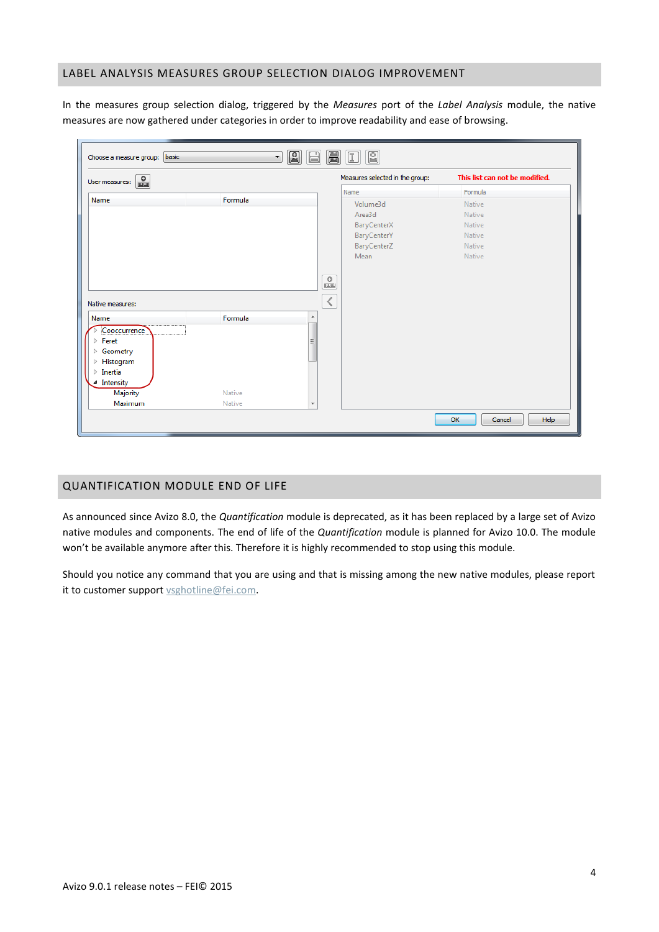### <span id="page-3-0"></span>LABEL ANALYSIS MEASURES GROUP SELECTION DIALOG IMPROVEMENT

In the measures group selection dialog, triggered by the *Measures* port of the *Label Analysis* module, the native measures are now gathered under categories in order to improve readability and ease of browsing.

| $\begin{matrix} 0 \\ -1 \end{matrix}$<br>User measures: |                  |            | Measures selected in the group: | This list can not be modified. |
|---------------------------------------------------------|------------------|------------|---------------------------------|--------------------------------|
|                                                         |                  |            | Name                            | Formula                        |
| Name                                                    | Formula          |            | Volume3d                        | Native                         |
|                                                         |                  |            | Area3d                          | Native                         |
|                                                         |                  |            | BaryCenterX                     | Native                         |
|                                                         |                  |            | BaryCenterY                     | Native                         |
|                                                         |                  |            | BaryCenterZ                     | Native                         |
|                                                         |                  |            | Mean                            | Native                         |
| Native measures:<br>Name                                | Formula          | $\lt$<br>▲ |                                 |                                |
| Cooccurrence                                            |                  |            |                                 |                                |
| $\triangleright$ Feret                                  |                  | Ξ          |                                 |                                |
| $\triangleright$ Geometry                               |                  |            |                                 |                                |
| $\triangleright$ Histogram                              |                  |            |                                 |                                |
| $\triangleright$ Inertia                                |                  |            |                                 |                                |
| ▲ Intensity                                             |                  |            |                                 |                                |
| <b>Majority</b>                                         | Native<br>Native |            |                                 |                                |
| Maximum                                                 |                  |            |                                 |                                |

## <span id="page-3-1"></span>QUANTIFICATION MODULE END OF LIFE

As announced since Avizo 8.0, the *Quantification* module is deprecated, as it has been replaced by a large set of Avizo native modules and components. The end of life of the *Quantification* module is planned for Avizo 10.0. The module won't be available anymore after this. Therefore it is highly recommended to stop using this module.

Should you notice any command that you are using and that is missing among the new native modules, please report it to customer support [vsghotline@fei.com.](mailto:vsghotline@fei.com)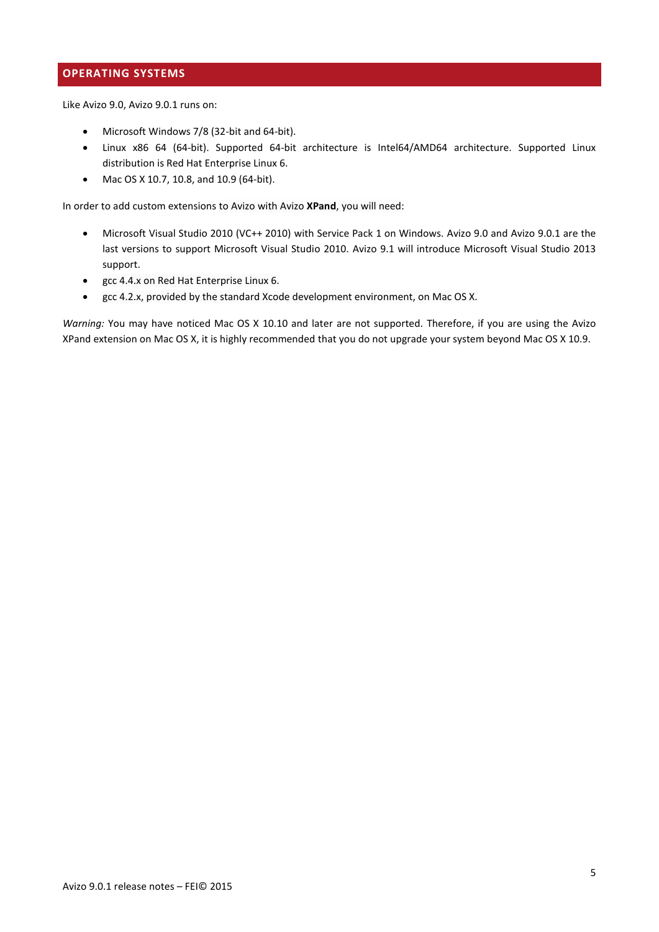# <span id="page-4-0"></span>**OPERATING SYSTEMS**

Like Avizo 9.0, Avizo 9.0.1 runs on:

- Microsoft Windows 7/8 (32-bit and 64-bit).
- Linux x86 64 (64-bit). Supported 64-bit architecture is Intel64/AMD64 architecture. Supported Linux distribution is Red Hat Enterprise Linux 6.
- Mac OS X 10.7, 10.8, and 10.9 (64-bit).

In order to add custom extensions to Avizo with Avizo **XPand**, you will need:

- Microsoft Visual Studio 2010 (VC++ 2010) with Service Pack 1 on Windows. Avizo 9.0 and Avizo 9.0.1 are the last versions to support Microsoft Visual Studio 2010. Avizo 9.1 will introduce Microsoft Visual Studio 2013 support.
- gcc 4.4.x on Red Hat Enterprise Linux 6.
- gcc 4.2.x, provided by the standard Xcode development environment, on Mac OS X.

*Warning:* You may have noticed Mac OS X 10.10 and later are not supported. Therefore, if you are using the Avizo XPand extension on Mac OS X, it is highly recommended that you do not upgrade your system beyond Mac OS X 10.9.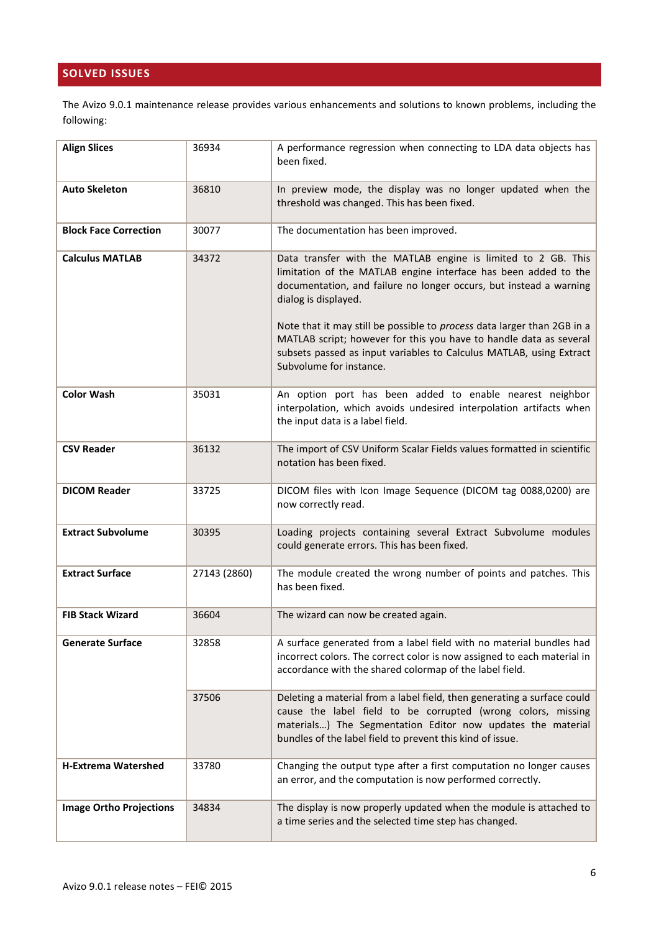# <span id="page-5-0"></span>**SOLVED ISSUES**

The Avizo 9.0.1 maintenance release provides various enhancements and solutions to known problems, including the following:

| <b>Align Slices</b>            | 36934        | A performance regression when connecting to LDA data objects has<br>been fixed.                                                                                                                                                                                                                                                                                                                                                                                                   |
|--------------------------------|--------------|-----------------------------------------------------------------------------------------------------------------------------------------------------------------------------------------------------------------------------------------------------------------------------------------------------------------------------------------------------------------------------------------------------------------------------------------------------------------------------------|
| <b>Auto Skeleton</b>           | 36810        | In preview mode, the display was no longer updated when the<br>threshold was changed. This has been fixed.                                                                                                                                                                                                                                                                                                                                                                        |
| <b>Block Face Correction</b>   | 30077        | The documentation has been improved.                                                                                                                                                                                                                                                                                                                                                                                                                                              |
| <b>Calculus MATLAB</b>         | 34372        | Data transfer with the MATLAB engine is limited to 2 GB. This<br>limitation of the MATLAB engine interface has been added to the<br>documentation, and failure no longer occurs, but instead a warning<br>dialog is displayed.<br>Note that it may still be possible to process data larger than 2GB in a<br>MATLAB script; however for this you have to handle data as several<br>subsets passed as input variables to Calculus MATLAB, using Extract<br>Subvolume for instance. |
| <b>Color Wash</b>              | 35031        | An option port has been added to enable nearest neighbor<br>interpolation, which avoids undesired interpolation artifacts when<br>the input data is a label field.                                                                                                                                                                                                                                                                                                                |
| <b>CSV Reader</b>              | 36132        | The import of CSV Uniform Scalar Fields values formatted in scientific<br>notation has been fixed.                                                                                                                                                                                                                                                                                                                                                                                |
| <b>DICOM Reader</b>            | 33725        | DICOM files with Icon Image Sequence (DICOM tag 0088,0200) are<br>now correctly read.                                                                                                                                                                                                                                                                                                                                                                                             |
| <b>Extract Subvolume</b>       | 30395        | Loading projects containing several Extract Subvolume modules<br>could generate errors. This has been fixed.                                                                                                                                                                                                                                                                                                                                                                      |
| <b>Extract Surface</b>         | 27143 (2860) | The module created the wrong number of points and patches. This<br>has been fixed.                                                                                                                                                                                                                                                                                                                                                                                                |
| <b>FIB Stack Wizard</b>        | 36604        | The wizard can now be created again.                                                                                                                                                                                                                                                                                                                                                                                                                                              |
| <b>Generate Surface</b>        | 32858        | A surface generated from a label field with no material bundles had<br>incorrect colors. The correct color is now assigned to each material in<br>accordance with the shared colormap of the label field.                                                                                                                                                                                                                                                                         |
|                                | 37506        | Deleting a material from a label field, then generating a surface could<br>cause the label field to be corrupted (wrong colors, missing<br>materials) The Segmentation Editor now updates the material<br>bundles of the label field to prevent this kind of issue.                                                                                                                                                                                                               |
| <b>H-Extrema Watershed</b>     | 33780        | Changing the output type after a first computation no longer causes<br>an error, and the computation is now performed correctly.                                                                                                                                                                                                                                                                                                                                                  |
| <b>Image Ortho Projections</b> | 34834        | The display is now properly updated when the module is attached to<br>a time series and the selected time step has changed.                                                                                                                                                                                                                                                                                                                                                       |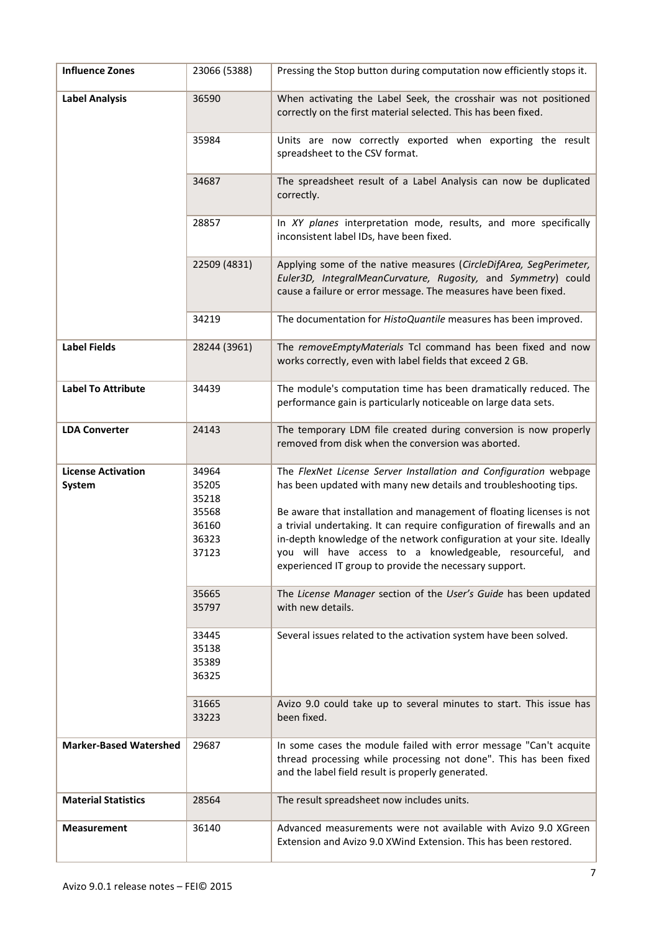| <b>Influence Zones</b>              | 23066 (5388)                                                | Pressing the Stop button during computation now efficiently stops it.                                                                                                                                                                                                                                                                                                                                                                                                                     |
|-------------------------------------|-------------------------------------------------------------|-------------------------------------------------------------------------------------------------------------------------------------------------------------------------------------------------------------------------------------------------------------------------------------------------------------------------------------------------------------------------------------------------------------------------------------------------------------------------------------------|
| <b>Label Analysis</b>               | 36590                                                       | When activating the Label Seek, the crosshair was not positioned<br>correctly on the first material selected. This has been fixed.                                                                                                                                                                                                                                                                                                                                                        |
|                                     | 35984                                                       | Units are now correctly exported when exporting the result<br>spreadsheet to the CSV format.                                                                                                                                                                                                                                                                                                                                                                                              |
|                                     | 34687                                                       | The spreadsheet result of a Label Analysis can now be duplicated<br>correctly.                                                                                                                                                                                                                                                                                                                                                                                                            |
|                                     | 28857                                                       | In XY planes interpretation mode, results, and more specifically<br>inconsistent label IDs, have been fixed.                                                                                                                                                                                                                                                                                                                                                                              |
|                                     | 22509 (4831)                                                | Applying some of the native measures (CircleDifArea, SegPerimeter,<br>Euler3D, IntegralMeanCurvature, Rugosity, and Symmetry) could<br>cause a failure or error message. The measures have been fixed.                                                                                                                                                                                                                                                                                    |
|                                     | 34219                                                       | The documentation for HistoQuantile measures has been improved.                                                                                                                                                                                                                                                                                                                                                                                                                           |
| <b>Label Fields</b>                 | 28244 (3961)                                                | The removeEmptyMaterials Tcl command has been fixed and now<br>works correctly, even with label fields that exceed 2 GB.                                                                                                                                                                                                                                                                                                                                                                  |
| <b>Label To Attribute</b>           | 34439                                                       | The module's computation time has been dramatically reduced. The<br>performance gain is particularly noticeable on large data sets.                                                                                                                                                                                                                                                                                                                                                       |
| <b>LDA Converter</b>                | 24143                                                       | The temporary LDM file created during conversion is now properly<br>removed from disk when the conversion was aborted.                                                                                                                                                                                                                                                                                                                                                                    |
| <b>License Activation</b><br>System | 34964<br>35205<br>35218<br>35568<br>36160<br>36323<br>37123 | The FlexNet License Server Installation and Configuration webpage<br>has been updated with many new details and troubleshooting tips.<br>Be aware that installation and management of floating licenses is not<br>a trivial undertaking. It can require configuration of firewalls and an<br>in-depth knowledge of the network configuration at your site. Ideally<br>you will have access to a knowledgeable, resourceful, and<br>experienced IT group to provide the necessary support. |
|                                     | 35665<br>35797                                              | The License Manager section of the User's Guide has been updated<br>with new details.                                                                                                                                                                                                                                                                                                                                                                                                     |
|                                     | 33445<br>35138<br>35389<br>36325                            | Several issues related to the activation system have been solved.                                                                                                                                                                                                                                                                                                                                                                                                                         |
|                                     | 31665<br>33223                                              | Avizo 9.0 could take up to several minutes to start. This issue has<br>been fixed.                                                                                                                                                                                                                                                                                                                                                                                                        |
| <b>Marker-Based Watershed</b>       | 29687                                                       | In some cases the module failed with error message "Can't acquite<br>thread processing while processing not done". This has been fixed<br>and the label field result is properly generated.                                                                                                                                                                                                                                                                                               |
| <b>Material Statistics</b>          | 28564                                                       | The result spreadsheet now includes units.                                                                                                                                                                                                                                                                                                                                                                                                                                                |
| <b>Measurement</b>                  | 36140                                                       | Advanced measurements were not available with Avizo 9.0 XGreen<br>Extension and Avizo 9.0 XWind Extension. This has been restored.                                                                                                                                                                                                                                                                                                                                                        |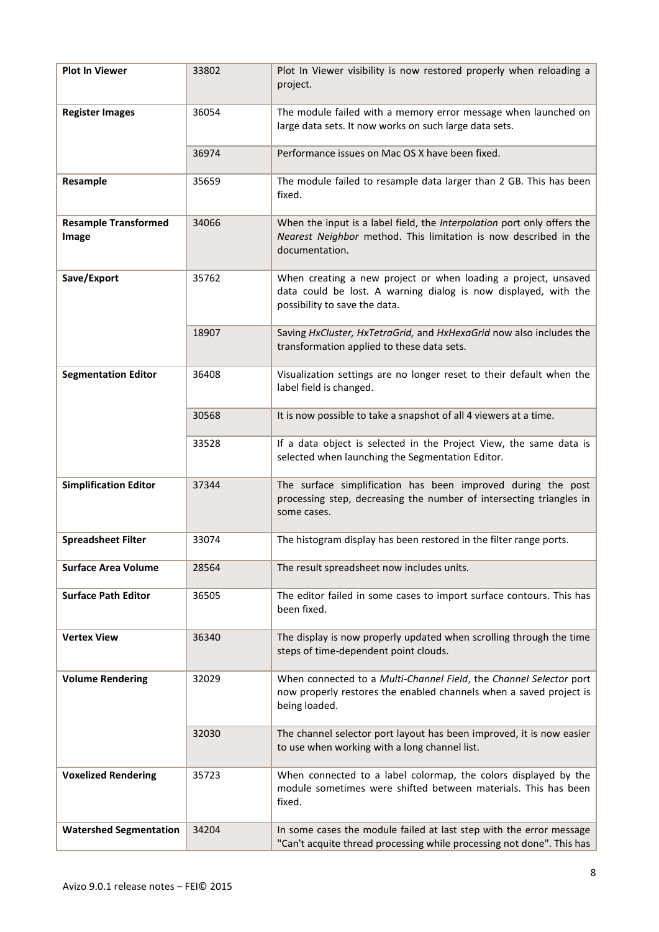| <b>Plot In Viewer</b>                | 33802 | Plot In Viewer visibility is now restored properly when reloading a<br>project.                                                                                    |
|--------------------------------------|-------|--------------------------------------------------------------------------------------------------------------------------------------------------------------------|
| <b>Register Images</b>               | 36054 | The module failed with a memory error message when launched on<br>large data sets. It now works on such large data sets.                                           |
|                                      | 36974 | Performance issues on Mac OS X have been fixed.                                                                                                                    |
| Resample                             | 35659 | The module failed to resample data larger than 2 GB. This has been<br>fixed.                                                                                       |
| <b>Resample Transformed</b><br>Image | 34066 | When the input is a label field, the Interpolation port only offers the<br>Nearest Neighbor method. This limitation is now described in the<br>documentation.      |
| Save/Export                          | 35762 | When creating a new project or when loading a project, unsaved<br>data could be lost. A warning dialog is now displayed, with the<br>possibility to save the data. |
|                                      | 18907 | Saving HxCluster, HxTetraGrid, and HxHexaGrid now also includes the<br>transformation applied to these data sets.                                                  |
| <b>Segmentation Editor</b>           | 36408 | Visualization settings are no longer reset to their default when the<br>label field is changed.                                                                    |
|                                      | 30568 | It is now possible to take a snapshot of all 4 viewers at a time.                                                                                                  |
|                                      | 33528 | If a data object is selected in the Project View, the same data is<br>selected when launching the Segmentation Editor.                                             |
| <b>Simplification Editor</b>         | 37344 | The surface simplification has been improved during the post<br>processing step, decreasing the number of intersecting triangles in<br>some cases.                 |
| <b>Spreadsheet Filter</b>            | 33074 | The histogram display has been restored in the filter range ports.                                                                                                 |
| <b>Surface Area Volume</b>           | 28564 | The result spreadsheet now includes units.                                                                                                                         |
| <b>Surface Path Editor</b>           | 36505 | The editor failed in some cases to import surface contours. This has<br>been fixed.                                                                                |
| <b>Vertex View</b>                   | 36340 | The display is now properly updated when scrolling through the time<br>steps of time-dependent point clouds.                                                       |
| <b>Volume Rendering</b>              | 32029 | When connected to a Multi-Channel Field, the Channel Selector port<br>now properly restores the enabled channels when a saved project is<br>being loaded.          |
|                                      | 32030 | The channel selector port layout has been improved, it is now easier<br>to use when working with a long channel list.                                              |
| <b>Voxelized Rendering</b>           | 35723 | When connected to a label colormap, the colors displayed by the<br>module sometimes were shifted between materials. This has been<br>fixed.                        |
| <b>Watershed Segmentation</b>        | 34204 | In some cases the module failed at last step with the error message<br>"Can't acquite thread processing while processing not done". This has                       |